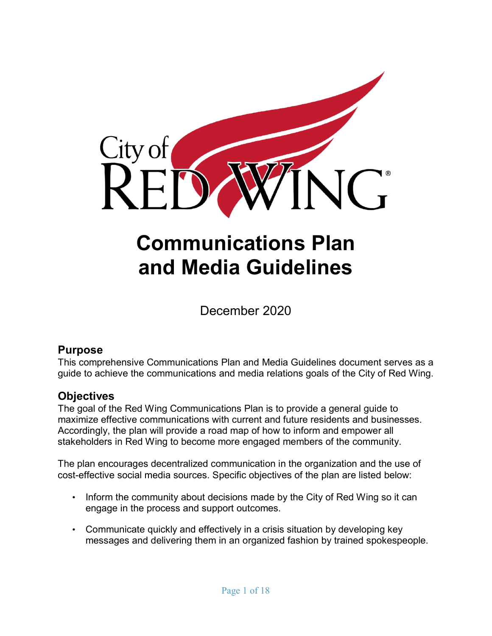

# **Communications Plan and Media Guidelines**

December 2020

## **Purpose**

This comprehensive Communications Plan and Media Guidelines document serves as a guide to achieve the communications and media relations goals of the City of Red Wing.

# **Objectives**

The goal of the Red Wing Communications Plan is to provide a general guide to maximize effective communications with current and future residents and businesses. Accordingly, the plan will provide a road map of how to inform and empower all stakeholders in Red Wing to become more engaged members of the community.

The plan encourages decentralized communication in the organization and the use of cost-effective social media sources. Specific objectives of the plan are listed below:

- Inform the community about decisions made by the City of Red Wing so it can engage in the process and support outcomes.
- Communicate quickly and effectively in a crisis situation by developing key messages and delivering them in an organized fashion by trained spokespeople.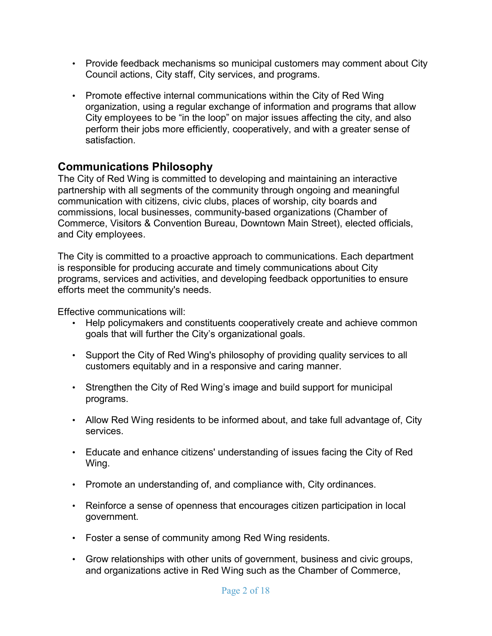- Provide feedback mechanisms so municipal customers may comment about City Council actions, City staff, City services, and programs.
- Promote effective internal communications within the City of Red Wing organization, using a regular exchange of information and programs that allow City employees to be "in the loop" on major issues affecting the city, and also perform their jobs more efficiently, cooperatively, and with a greater sense of satisfaction.

# **Communications Philosophy**

The City of Red Wing is committed to developing and maintaining an interactive partnership with all segments of the community through ongoing and meaningful communication with citizens, civic clubs, places of worship, city boards and commissions, local businesses, community-based organizations (Chamber of Commerce, Visitors & Convention Bureau, Downtown Main Street), elected officials, and City employees.

The City is committed to a proactive approach to communications. Each department is responsible for producing accurate and timely communications about City programs, services and activities, and developing feedback opportunities to ensure efforts meet the community's needs.

Effective communications will:

- Help policymakers and constituents cooperatively create and achieve common goals that will further the City's organizational goals.
- Support the City of Red Wing's philosophy of providing quality services to all customers equitably and in a responsive and caring manner.
- Strengthen the City of Red Wing's image and build support for municipal programs.
- Allow Red Wing residents to be informed about, and take full advantage of, City services.
- Educate and enhance citizens' understanding of issues facing the City of Red Wing.
- Promote an understanding of, and compliance with, City ordinances.
- Reinforce a sense of openness that encourages citizen participation in local government.
- Foster a sense of community among Red Wing residents.
- Grow relationships with other units of government, business and civic groups, and organizations active in Red Wing such as the Chamber of Commerce,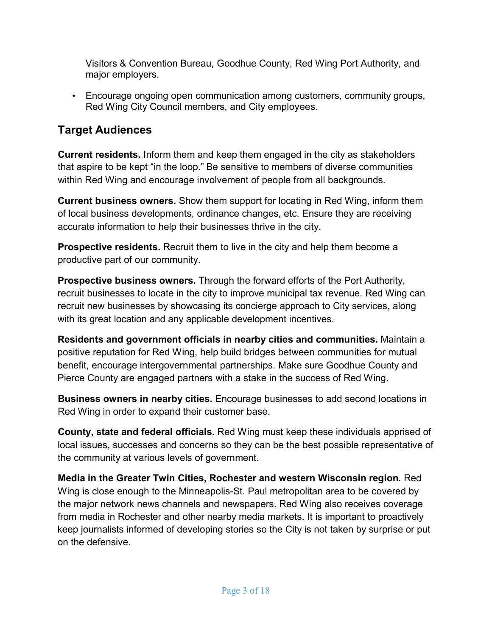Visitors & Convention Bureau, Goodhue County, Red Wing Port Authority, and major employers.

• Encourage ongoing open communication among customers, community groups, Red Wing City Council members, and City employees.

# **Target Audiences**

**Current residents.** Inform them and keep them engaged in the city as stakeholders that aspire to be kept "in the loop." Be sensitive to members of diverse communities within Red Wing and encourage involvement of people from all backgrounds.

**Current business owners.** Show them support for locating in Red Wing, inform them of local business developments, ordinance changes, etc. Ensure they are receiving accurate information to help their businesses thrive in the city.

**Prospective residents.** Recruit them to live in the city and help them become a productive part of our community.

**Prospective business owners.** Through the forward efforts of the Port Authority, recruit businesses to locate in the city to improve municipal tax revenue. Red Wing can recruit new businesses by showcasing its concierge approach to City services, along with its great location and any applicable development incentives.

**Residents and government officials in nearby cities and communities.** Maintain a positive reputation for Red Wing, help build bridges between communities for mutual benefit, encourage intergovernmental partnerships. Make sure Goodhue County and Pierce County are engaged partners with a stake in the success of Red Wing.

**Business owners in nearby cities.** Encourage businesses to add second locations in Red Wing in order to expand their customer base.

**County, state and federal officials.** Red Wing must keep these individuals apprised of local issues, successes and concerns so they can be the best possible representative of the community at various levels of government.

**Media in the Greater Twin Cities, Rochester and western Wisconsin region.** Red Wing is close enough to the Minneapolis-St. Paul metropolitan area to be covered by the major network news channels and newspapers. Red Wing also receives coverage from media in Rochester and other nearby media markets. It is important to proactively keep journalists informed of developing stories so the City is not taken by surprise or put on the defensive.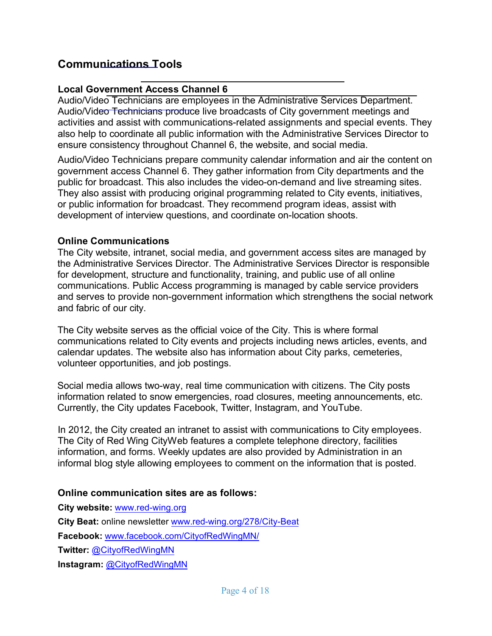## **Communications Tools**

#### **Local Government Access Channel 6**

Audio/Video Technicians are employees in the Administrative Services Department. Audio/Video Technicians produce live broadcasts of City government meetings and activities and assist with communications-related assignments and special events. They also help to coordinate all public information with the Administrative Services Director to ensure consistency throughout Channel 6, the website, and social media.

Audio/Video Technicians prepare community calendar information and air the content on government access Channel 6. They gather information from City departments and the public for broadcast. This also includes the video-on-demand and live streaming sites. They also assist with producing original programming related to City events, initiatives, or public information for broadcast. They recommend program ideas, assist with development of interview questions, and coordinate on-location shoots.

#### **Online Communications**

The City website, intranet, social media, and government access sites are managed by the Administrative Services Director. The Administrative Services Director is responsible for development, structure and functionality, training, and public use of all online communications. Public Access programming is managed by cable service providers and serves to provide non-government information which strengthens the social network and fabric of our city.

The City website serves as the official voice of the City. This is where formal communications related to City events and projects including news articles, events, and calendar updates. The website also has information about City parks, cemeteries, volunteer opportunities, and job postings.

Social media allows two-way, real time communication with citizens. The City posts information related to snow emergencies, road closures, meeting announcements, etc. Currently, the City updates Facebook, Twitter, Instagram, and YouTube.

In 2012, the City created an intranet to assist with communications to City employees. The City of Red Wing CityWeb features a complete telephone directory, facilities information, and forms. Weekly updates are also provided by Administration in an informal blog style allowing employees to comment on the information that is posted.

#### **Online communication sites are as follows:**

**City website:** [www.red-wing.org](http://www.red-wing.org/)  **City Beat:** online newsletter [www.red-wing.org/278/City-Beat](https://www.red-wing.org/278/City-Beat) **Facebook:** [www.facebook.com/CityofRedWingMN/](https://www.facebook.com/pages/City-of-Red-Wing) **Twitter:** @Ci[tyofRedWingMN](http://www.red-wing.org/iscommunications.html#!/CityofRedWingMN) **Instagram:** @CityofRedWingMN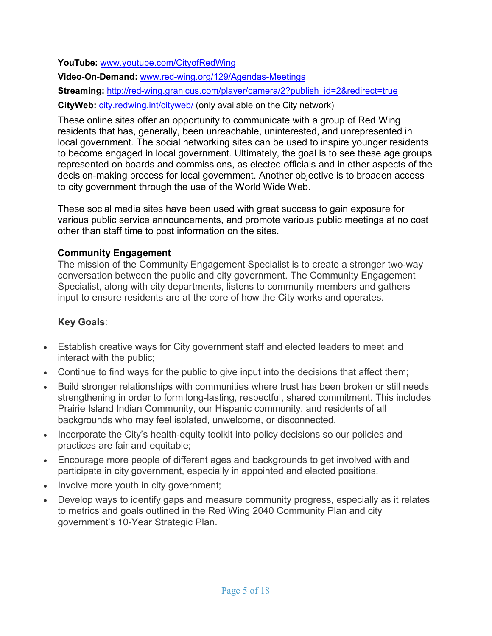**YouTube:** [www.youtube.co](http://www.youtube.com/user/CityofRedWing)m/CityofRedWing

**Video-On-Demand:** [www.red-wing.org/129/Agendas-Meetings](https://www.red-wing.org/129/Agendas-Meetings) **Streaming:** [http://red-wing.granicus.com/player/camera/2?publish\\_id=2&redirect=true](http://red-wing.granicus.com/player/camera/2?publish_id=2&redirect=true) **CityWeb:** [city.redwing.int/cityweb/](http://www.red-wing.org/city.redwing.int/cityweb/) (only available on the City network)

These online sites offer an opportunity to communicate with a group of Red Wing residents that has, generally, been unreachable, uninterested, and unrepresented in local government. The social networking sites can be used to inspire younger residents to become engaged in local government. Ultimately, the goal is to see these age groups represented on boards and commissions, as elected officials and in other aspects of the decision-making process for local government. Another objective is to broaden access to city government through the use of the World Wide Web.

These social media sites have been used with great success to gain exposure for various public service announcements, and promote various public meetings at no cost other than staff time to post information on the sites.

#### **Community Engagement**

The mission of the Community Engagement Specialist is to create a stronger two-way conversation between the public and city government. The Community Engagement Specialist, along with city departments, listens to community members and gathers input to ensure residents are at the core of how the City works and operates.

## **Key Goals**:

- Establish creative ways for City government staff and elected leaders to meet and interact with the public;
- Continue to find ways for the public to give input into the decisions that affect them;
- Build stronger relationships with communities where trust has been broken or still needs strengthening in order to form long-lasting, respectful, shared commitment. This includes Prairie Island Indian Community, our Hispanic community, and residents of all backgrounds who may feel isolated, unwelcome, or disconnected.
- Incorporate the City's health-equity toolkit into policy decisions so our policies and practices are fair and equitable;
- Encourage more people of different ages and backgrounds to get involved with and participate in city government, especially in appointed and elected positions.
- Involve more youth in city government;
- Develop ways to identify gaps and measure community progress, especially as it relates to metrics and goals outlined in the Red Wing 2040 Community Plan and city government's 10-Year Strategic Plan.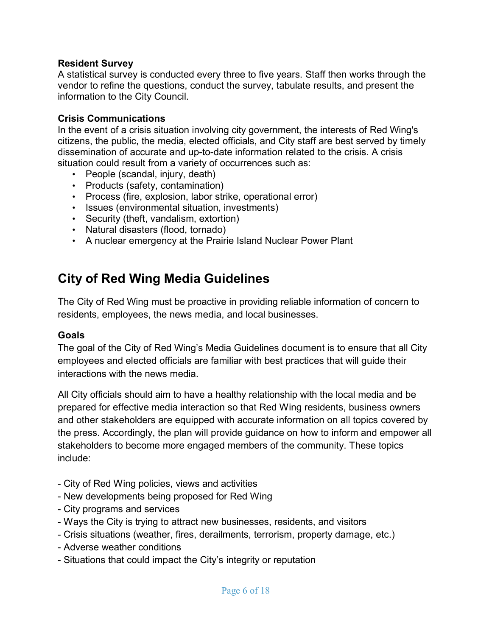#### **Resident Survey**

A statistical survey is conducted every three to five years. Staff then works through the vendor to refine the questions, conduct the survey, tabulate results, and present the information to the City Council.

#### **Crisis Communications**

In the event of a crisis situation involving city government, the interests of Red Wing's citizens, the public, the media, elected officials, and City staff are best served by timely dissemination of accurate and up-to-date information related to the crisis. A crisis situation could result from a variety of occurrences such as:

- People (scandal, injury, death)
- Products (safety, contamination)
- Process (fire, explosion, labor strike, operational error)
- Issues (environmental situation, investments)
- Security (theft, vandalism, extortion)
- Natural disasters (flood, tornado)
- A nuclear emergency at the Prairie Island Nuclear Power Plant

# **City of Red Wing Media Guidelines**

The City of Red Wing must be proactive in providing reliable information of concern to residents, employees, the news media, and local businesses.

#### **Goals**

The goal of the City of Red Wing's Media Guidelines document is to ensure that all City employees and elected officials are familiar with best practices that will guide their interactions with the news media.

All City officials should aim to have a healthy relationship with the local media and be prepared for effective media interaction so that Red Wing residents, business owners and other stakeholders are equipped with accurate information on all topics covered by the press. Accordingly, the plan will provide guidance on how to inform and empower all stakeholders to become more engaged members of the community. These topics include:

- City of Red Wing policies, views and activities
- New developments being proposed for Red Wing
- City programs and services
- Ways the City is trying to attract new businesses, residents, and visitors
- Crisis situations (weather, fires, derailments, terrorism, property damage, etc.)
- Adverse weather conditions
- Situations that could impact the City's integrity or reputation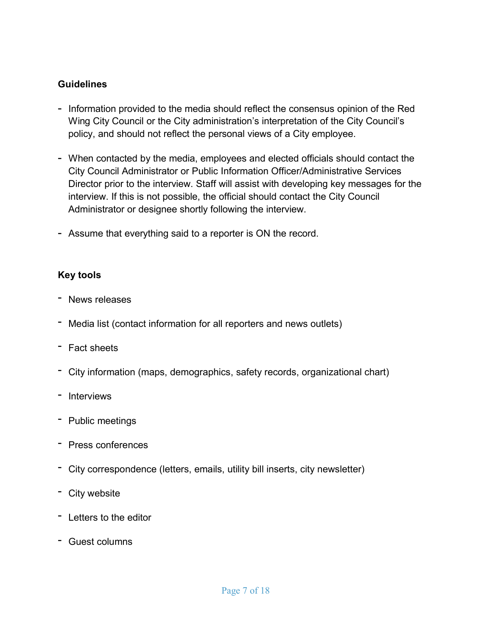#### **Guidelines**

- Information provided to the media should reflect the consensus opinion of the Red Wing City Council or the City administration's interpretation of the City Council's policy, and should not reflect the personal views of a City employee.
- When contacted by the media, employees and elected officials should contact the City Council Administrator or Public Information Officer/Administrative Services Director prior to the interview. Staff will assist with developing key messages for the interview. If this is not possible, the official should contact the City Council Administrator or designee shortly following the interview.
- Assume that everything said to a reporter is ON the record.

#### **Key tools**

- News releases
- Media list (contact information for all reporters and news outlets)
- Fact sheets
- City information (maps, demographics, safety records, organizational chart)
- Interviews
- Public meetings
- Press conferences
- City correspondence (letters, emails, utility bill inserts, city newsletter)
- City website
- Letters to the editor
- Guest columns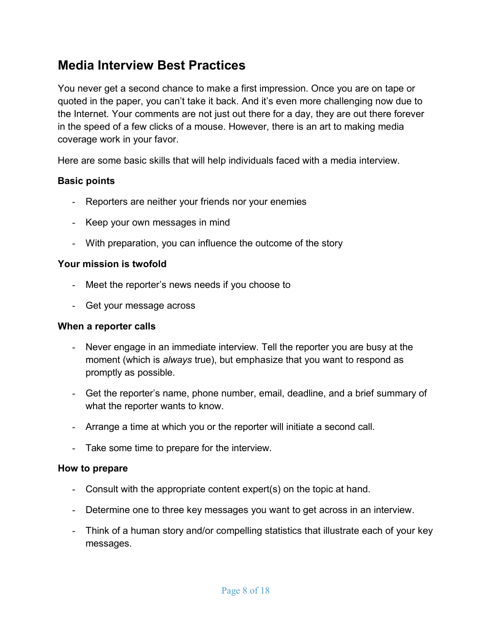# **Media Interview Best Practices**

You never get a second chance to make a first impression. Once you are on tape or quoted in the paper, you can't take it back. And it's even more challenging now due to the Internet. Your comments are not just out there for a day, they are out there forever in the speed of a few clicks of a mouse. However, there is an art to making media coverage work in your favor.

Here are some basic skills that will help individuals faced with a media interview.

#### **Basic points**

- Reporters are neither your friends nor your enemies
- Keep your own messages in mind
- With preparation, you can influence the outcome of the story

#### **Your mission is twofold**

- Meet the reporter's news needs if you choose to
- Get your message across

#### **When a reporter calls**

- Never engage in an immediate interview. Tell the reporter you are busy at the moment (which is *always* true), but emphasize that you want to respond as promptly as possible.
- Get the reporter's name, phone number, email, deadline, and a brief summary of what the reporter wants to know.
- Arrange a time at which you or the reporter will initiate a second call.
- Take some time to prepare for the interview.

#### **How to prepare**

- Consult with the appropriate content expert(s) on the topic at hand.
- Determine one to three key messages you want to get across in an interview.
- Think of a human story and/or compelling statistics that illustrate each of your key messages.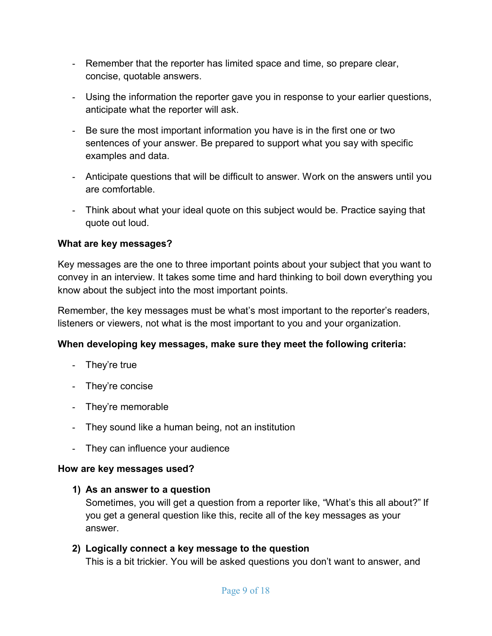- Remember that the reporter has limited space and time, so prepare clear, concise, quotable answers.
- Using the information the reporter gave you in response to your earlier questions, anticipate what the reporter will ask.
- Be sure the most important information you have is in the first one or two sentences of your answer. Be prepared to support what you say with specific examples and data.
- Anticipate questions that will be difficult to answer. Work on the answers until you are comfortable.
- Think about what your ideal quote on this subject would be. Practice saying that quote out loud.

#### **What are key messages?**

Key messages are the one to three important points about your subject that you want to convey in an interview. It takes some time and hard thinking to boil down everything you know about the subject into the most important points.

Remember, the key messages must be what's most important to the reporter's readers, listeners or viewers, not what is the most important to you and your organization.

#### **When developing key messages, make sure they meet the following criteria:**

- They're true
- They're concise
- They're memorable
- They sound like a human being, not an institution
- They can influence your audience

#### **How are key messages used?**

#### **1) As an answer to a question**

Sometimes, you will get a question from a reporter like, "What's this all about?" If you get a general question like this, recite all of the key messages as your answer.

#### **2) Logically connect a key message to the question**

This is a bit trickier. You will be asked questions you don't want to answer, and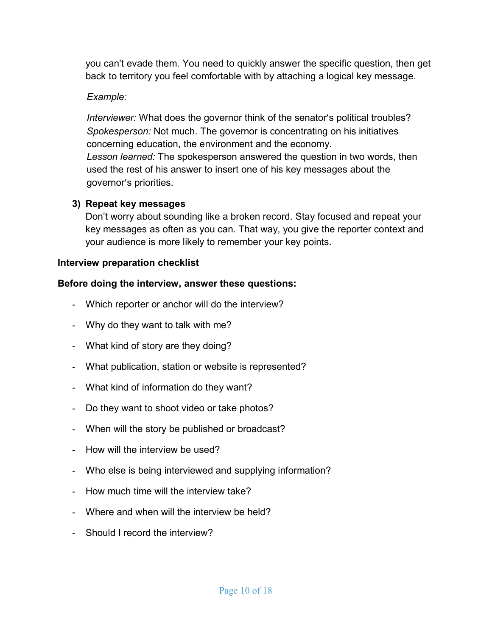you can't evade them. You need to quickly answer the specific question, then get back to territory you feel comfortable with by attaching a logical key message.

#### *Example:*

*Interviewer:* What does the governor think of the senator's political troubles? *Spokesperson:* Not much. The governor is concentrating on his initiatives concerning education, the environment and the economy. *Lesson learned:* The spokesperson answered the question in two words, then used the rest of his answer to insert one of his key messages about the governor's priorities.

#### **3) Repeat key messages**

Don't worry about sounding like a broken record. Stay focused and repeat your key messages as often as you can. That way, you give the reporter context and your audience is more likely to remember your key points.

#### **Interview preparation checklist**

#### **Before doing the interview, answer these questions:**

- Which reporter or anchor will do the interview?
- Why do they want to talk with me?
- What kind of story are they doing?
- What publication, station or website is represented?
- What kind of information do they want?
- Do they want to shoot video or take photos?
- When will the story be published or broadcast?
- How will the interview be used?
- Who else is being interviewed and supplying information?
- How much time will the interview take?
- Where and when will the interview be held?
- Should I record the interview?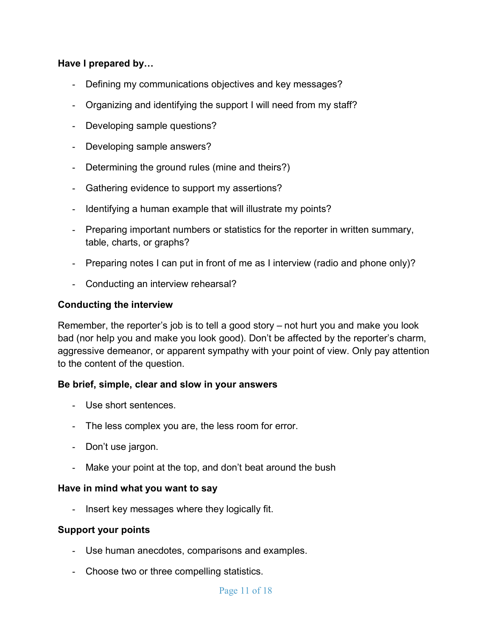#### **Have I prepared by…**

- Defining my communications objectives and key messages?
- Organizing and identifying the support I will need from my staff?
- Developing sample questions?
- Developing sample answers?
- Determining the ground rules (mine and theirs?)
- Gathering evidence to support my assertions?
- Identifying a human example that will illustrate my points?
- Preparing important numbers or statistics for the reporter in written summary, table, charts, or graphs?
- Preparing notes I can put in front of me as I interview (radio and phone only)?
- Conducting an interview rehearsal?

#### **Conducting the interview**

Remember, the reporter's job is to tell a good story – not hurt you and make you look bad (nor help you and make you look good). Don't be affected by the reporter's charm, aggressive demeanor, or apparent sympathy with your point of view. Only pay attention to the content of the question.

#### **Be brief, simple, clear and slow in your answers**

- Use short sentences.
- The less complex you are, the less room for error.
- Don't use jargon.
- Make your point at the top, and don't beat around the bush

#### **Have in mind what you want to say**

- Insert key messages where they logically fit.

#### **Support your points**

- Use human anecdotes, comparisons and examples.
- Choose two or three compelling statistics.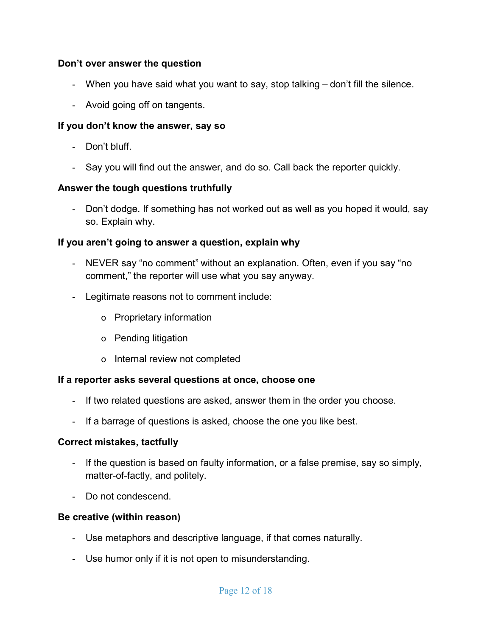#### **Don't over answer the question**

- When you have said what you want to say, stop talking don't fill the silence.
- Avoid going off on tangents.

#### **If you don't know the answer, say so**

- Don't bluff.
- Say you will find out the answer, and do so. Call back the reporter quickly.

#### **Answer the tough questions truthfully**

- Don't dodge. If something has not worked out as well as you hoped it would, say so. Explain why.

#### **If you aren't going to answer a question, explain why**

- NEVER say "no comment" without an explanation. Often, even if you say "no comment," the reporter will use what you say anyway.
- Legitimate reasons not to comment include:
	- o Proprietary information
	- o Pending litigation
	- o Internal review not completed

#### **If a reporter asks several questions at once, choose one**

- If two related questions are asked, answer them in the order you choose.
- If a barrage of questions is asked, choose the one you like best.

#### **Correct mistakes, tactfully**

- If the question is based on faulty information, or a false premise, say so simply, matter-of-factly, and politely.
- Do not condescend.

#### **Be creative (within reason)**

- Use metaphors and descriptive language, if that comes naturally.
- Use humor only if it is not open to misunderstanding.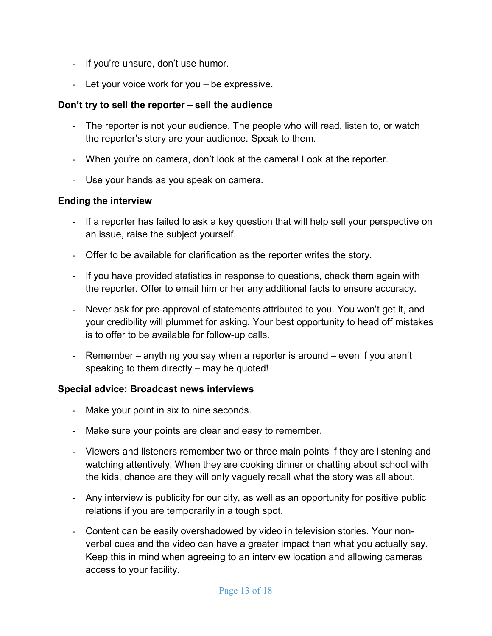- If you're unsure, don't use humor.
- Let your voice work for you be expressive.

#### **Don't try to sell the reporter – sell the audience**

- The reporter is not your audience. The people who will read, listen to, or watch the reporter's story are your audience. Speak to them.
- When you're on camera, don't look at the camera! Look at the reporter.
- Use your hands as you speak on camera.

#### **Ending the interview**

- If a reporter has failed to ask a key question that will help sell your perspective on an issue, raise the subject yourself.
- Offer to be available for clarification as the reporter writes the story.
- If you have provided statistics in response to questions, check them again with the reporter. Offer to email him or her any additional facts to ensure accuracy.
- Never ask for pre-approval of statements attributed to you. You won't get it, and your credibility will plummet for asking. Your best opportunity to head off mistakes is to offer to be available for follow-up calls.
- Remember anything you say when a reporter is around even if you aren't speaking to them directly – may be quoted!

#### **Special advice: Broadcast news interviews**

- Make your point in six to nine seconds.
- Make sure your points are clear and easy to remember.
- Viewers and listeners remember two or three main points if they are listening and watching attentively. When they are cooking dinner or chatting about school with the kids, chance are they will only vaguely recall what the story was all about.
- Any interview is publicity for our city, as well as an opportunity for positive public relations if you are temporarily in a tough spot.
- Content can be easily overshadowed by video in television stories. Your nonverbal cues and the video can have a greater impact than what you actually say. Keep this in mind when agreeing to an interview location and allowing cameras access to your facility.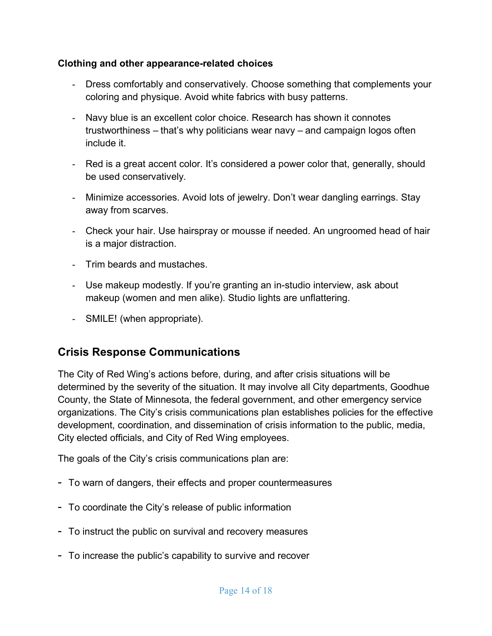#### **Clothing and other appearance-related choices**

- Dress comfortably and conservatively. Choose something that complements your coloring and physique. Avoid white fabrics with busy patterns.
- Navy blue is an excellent color choice. Research has shown it connotes trustworthiness – that's why politicians wear navy – and campaign logos often include it.
- Red is a great accent color. It's considered a power color that, generally, should be used conservatively.
- Minimize accessories. Avoid lots of jewelry. Don't wear dangling earrings. Stay away from scarves.
- Check your hair. Use hairspray or mousse if needed. An ungroomed head of hair is a major distraction.
- Trim beards and mustaches.
- Use makeup modestly. If you're granting an in-studio interview, ask about makeup (women and men alike). Studio lights are unflattering.
- SMILE! (when appropriate).

# **Crisis Response Communications**

The City of Red Wing's actions before, during, and after crisis situations will be determined by the severity of the situation. It may involve all City departments, Goodhue County, the State of Minnesota, the federal government, and other emergency service organizations. The City's crisis communications plan establishes policies for the effective development, coordination, and dissemination of crisis information to the public, media, City elected officials, and City of Red Wing employees.

The goals of the City's crisis communications plan are:

- To warn of dangers, their effects and proper countermeasures
- To coordinate the City's release of public information
- To instruct the public on survival and recovery measures
- To increase the public's capability to survive and recover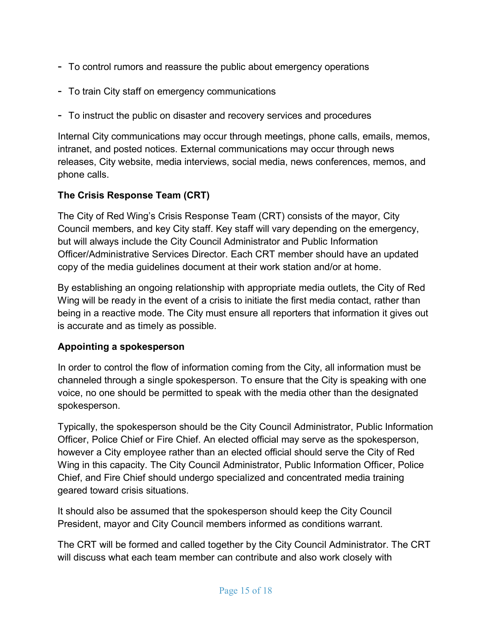- To control rumors and reassure the public about emergency operations
- To train City staff on emergency communications
- To instruct the public on disaster and recovery services and procedures

Internal City communications may occur through meetings, phone calls, emails, memos, intranet, and posted notices. External communications may occur through news releases, City website, media interviews, social media, news conferences, memos, and phone calls.

### **The Crisis Response Team (CRT)**

The City of Red Wing's Crisis Response Team (CRT) consists of the mayor, City Council members, and key City staff. Key staff will vary depending on the emergency, but will always include the City Council Administrator and Public Information Officer/Administrative Services Director. Each CRT member should have an updated copy of the media guidelines document at their work station and/or at home.

By establishing an ongoing relationship with appropriate media outlets, the City of Red Wing will be ready in the event of a crisis to initiate the first media contact, rather than being in a reactive mode. The City must ensure all reporters that information it gives out is accurate and as timely as possible.

#### **Appointing a spokesperson**

In order to control the flow of information coming from the City, all information must be channeled through a single spokesperson. To ensure that the City is speaking with one voice, no one should be permitted to speak with the media other than the designated spokesperson.

Typically, the spokesperson should be the City Council Administrator, Public Information Officer, Police Chief or Fire Chief. An elected official may serve as the spokesperson, however a City employee rather than an elected official should serve the City of Red Wing in this capacity. The City Council Administrator, Public Information Officer, Police Chief, and Fire Chief should undergo specialized and concentrated media training geared toward crisis situations.

It should also be assumed that the spokesperson should keep the City Council President, mayor and City Council members informed as conditions warrant.

The CRT will be formed and called together by the City Council Administrator. The CRT will discuss what each team member can contribute and also work closely with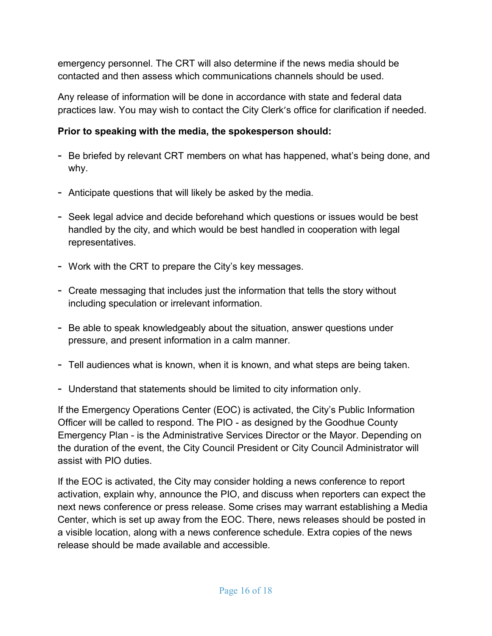emergency personnel. The CRT will also determine if the news media should be contacted and then assess which communications channels should be used.

Any release of information will be done in accordance with state and federal data practices law. You may wish to contact the City Clerk's office for clarification if needed.

#### **Prior to speaking with the media, the spokesperson should:**

- Be briefed by relevant CRT members on what has happened, what's being done, and why.
- Anticipate questions that will likely be asked by the media.
- Seek legal advice and decide beforehand which questions or issues would be best handled by the city, and which would be best handled in cooperation with legal representatives.
- Work with the CRT to prepare the City's key messages.
- Create messaging that includes just the information that tells the story without including speculation or irrelevant information.
- Be able to speak knowledgeably about the situation, answer questions under pressure, and present information in a calm manner.
- Tell audiences what is known, when it is known, and what steps are being taken.
- Understand that statements should be limited to city information only.

If the Emergency Operations Center (EOC) is activated, the City's Public Information Officer will be called to respond. The PIO - as designed by the Goodhue County Emergency Plan - is the Administrative Services Director or the Mayor. Depending on the duration of the event, the City Council President or City Council Administrator will assist with PIO duties.

If the EOC is activated, the City may consider holding a news conference to report activation, explain why, announce the PIO, and discuss when reporters can expect the next news conference or press release. Some crises may warrant establishing a Media Center, which is set up away from the EOC. There, news releases should be posted in a visible location, along with a news conference schedule. Extra copies of the news release should be made available and accessible.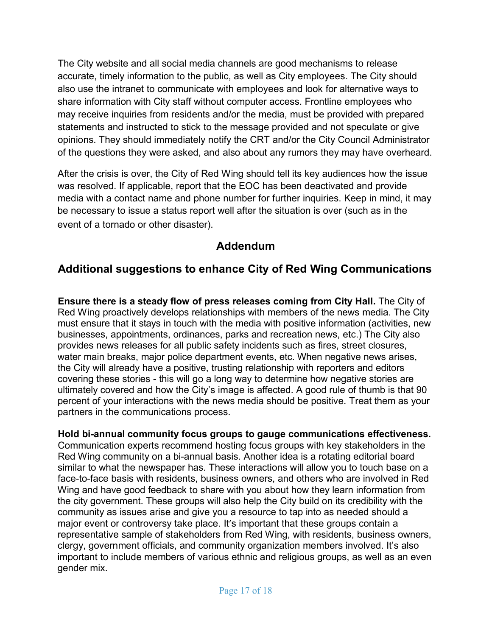The City website and all social media channels are good mechanisms to release accurate, timely information to the public, as well as City employees. The City should also use the intranet to communicate with employees and look for alternative ways to share information with City staff without computer access. Frontline employees who may receive inquiries from residents and/or the media, must be provided with prepared statements and instructed to stick to the message provided and not speculate or give opinions. They should immediately notify the CRT and/or the City Council Administrator of the questions they were asked, and also about any rumors they may have overheard.

After the crisis is over, the City of Red Wing should tell its key audiences how the issue was resolved. If applicable, report that the EOC has been deactivated and provide media with a contact name and phone number for further inquiries. Keep in mind, it may be necessary to issue a status report well after the situation is over (such as in the event of a tornado or other disaster).

# **Addendum**

# **Additional suggestions to enhance City of Red Wing Communications**

**Ensure there is a steady flow of press releases coming from City Hall.** The City of Red Wing proactively develops relationships with members of the news media. The City must ensure that it stays in touch with the media with positive information (activities, new businesses, appointments, ordinances, parks and recreation news, etc.) The City also provides news releases for all public safety incidents such as fires, street closures, water main breaks, major police department events, etc. When negative news arises, the City will already have a positive, trusting relationship with reporters and editors covering these stories - this will go a long way to determine how negative stories are ultimately covered and how the City's image is affected. A good rule of thumb is that 90 percent of your interactions with the news media should be positive. Treat them as your partners in the communications process.

#### **Hold bi-annual community focus groups to gauge communications effectiveness.**

Communication experts recommend hosting focus groups with key stakeholders in the Red Wing community on a bi-annual basis. Another idea is a rotating editorial board similar to what the newspaper has. These interactions will allow you to touch base on a face-to-face basis with residents, business owners, and others who are involved in Red Wing and have good feedback to share with you about how they learn information from the city government. These groups will also help the City build on its credibility with the community as issues arise and give you a resource to tap into as needed should a major event or controversy take place. It's important that these groups contain a representative sample of stakeholders from Red Wing, with residents, business owners, clergy, government officials, and community organization members involved. It's also important to include members of various ethnic and religious groups, as well as an even gender mix.